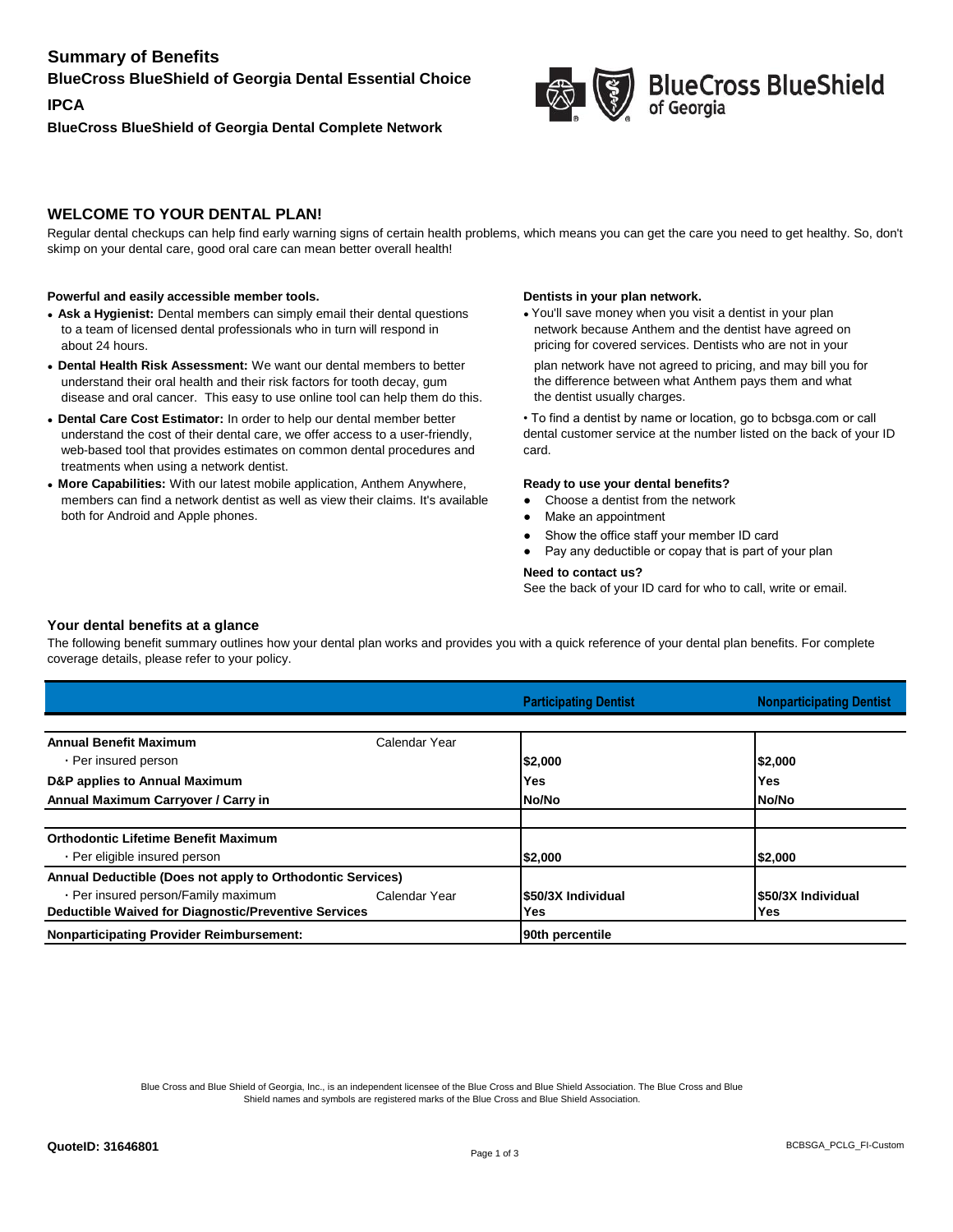# **Summary of Benefits**

## **BlueCross BlueShield of Georgia Dental Essential Choice**

**IPCA BlueCross BlueShield of Georgia Dental Complete Network**



# **BlueCross BlueShield**

# **WELCOME TO YOUR DENTAL PLAN!**

Regular dental checkups can help find early warning signs of certain health problems, which means you can get the care you need to get healthy. So, don't skimp on your dental care, good oral care can mean better overall health!

#### **Powerful and easily accessible member tools. Dentists in your plan network. Dentists in your plan network.**

- Ask a Hygienist: Dental members can simply email their dental questions to a team of licensed dental professionals who in turn will respond in about 24 hours.
- **Dental Health Risk Assessment:** We want our dental members to better understand their oral health and their risk factors for tooth decay, gum disease and oral cancer. This easy to use online tool can help them do this.
- **Dental Care Cost Estimator:** In order to help our dental member better understand the cost of their dental care, we offer access to a user-friendly, web-based tool that provides estimates on common dental procedures and treatments when using a network dentist.
- **More Capabilities:** With our latest mobile application, Anthem Anywhere, members can find a network dentist as well as view their claims. It's available both for Android and Apple phones.

• You'll save money when you visit a dentist in your plan network because Anthem and the dentist have agreed on pricing for covered services. Dentists who are not in your plan network have not agreed to pricing, and may bill you for the difference between what Anthem pays them and what the dentist usually charges.

• To find a dentist by name or location, go to bcbsga.com or call dental customer service at the number listed on the back of your ID card.

#### **Ready to use your dental benefits?**

- **●** Choose a dentist from the network
- Make an appointment
- Show the office staff your member ID card
- Pay any deductible or copay that is part of your plan

#### **Need to contact us?**

See the back of your ID card for who to call, write or email.

### **Your dental benefits at a glance**

The following benefit summary outlines how your dental plan works and provides you with a quick reference of your dental plan benefits. For complete coverage details, please refer to your policy.

|                                                            |               | <b>Participating Dentist</b> | <b>Nonparticipating Dentist</b> |
|------------------------------------------------------------|---------------|------------------------------|---------------------------------|
|                                                            |               |                              |                                 |
| <b>Annual Benefit Maximum</b>                              | Calendar Year |                              |                                 |
| - Per insured person                                       |               | \$2,000                      | 52,000                          |
| D&P applies to Annual Maximum                              |               | Yes                          | Yes                             |
| Annual Maximum Carryover / Carry in                        |               | No/No                        | No/No                           |
|                                                            |               |                              |                                 |
| <b>Orthodontic Lifetime Benefit Maximum</b>                |               |                              |                                 |
| • Per eligible insured person                              |               | \$2,000                      | 52,000                          |
| Annual Deductible (Does not apply to Orthodontic Services) |               |                              |                                 |
| - Per insured person/Family maximum                        | Calendar Year | \$50/3X Individual           | <b>S50/3X Individual</b>        |
| Deductible Waived for Diagnostic/Preventive Services       |               | Yes                          | Yes                             |
| <b>Nonparticipating Provider Reimbursement:</b>            |               | 90th percentile              |                                 |

Blue Cross and Blue Shield of Georgia, Inc., is an independent licensee of the Blue Cross and Blue Shield Association. The Blue Cross and Blue Shield names and symbols are registered marks of the Blue Cross and Blue Shield Association.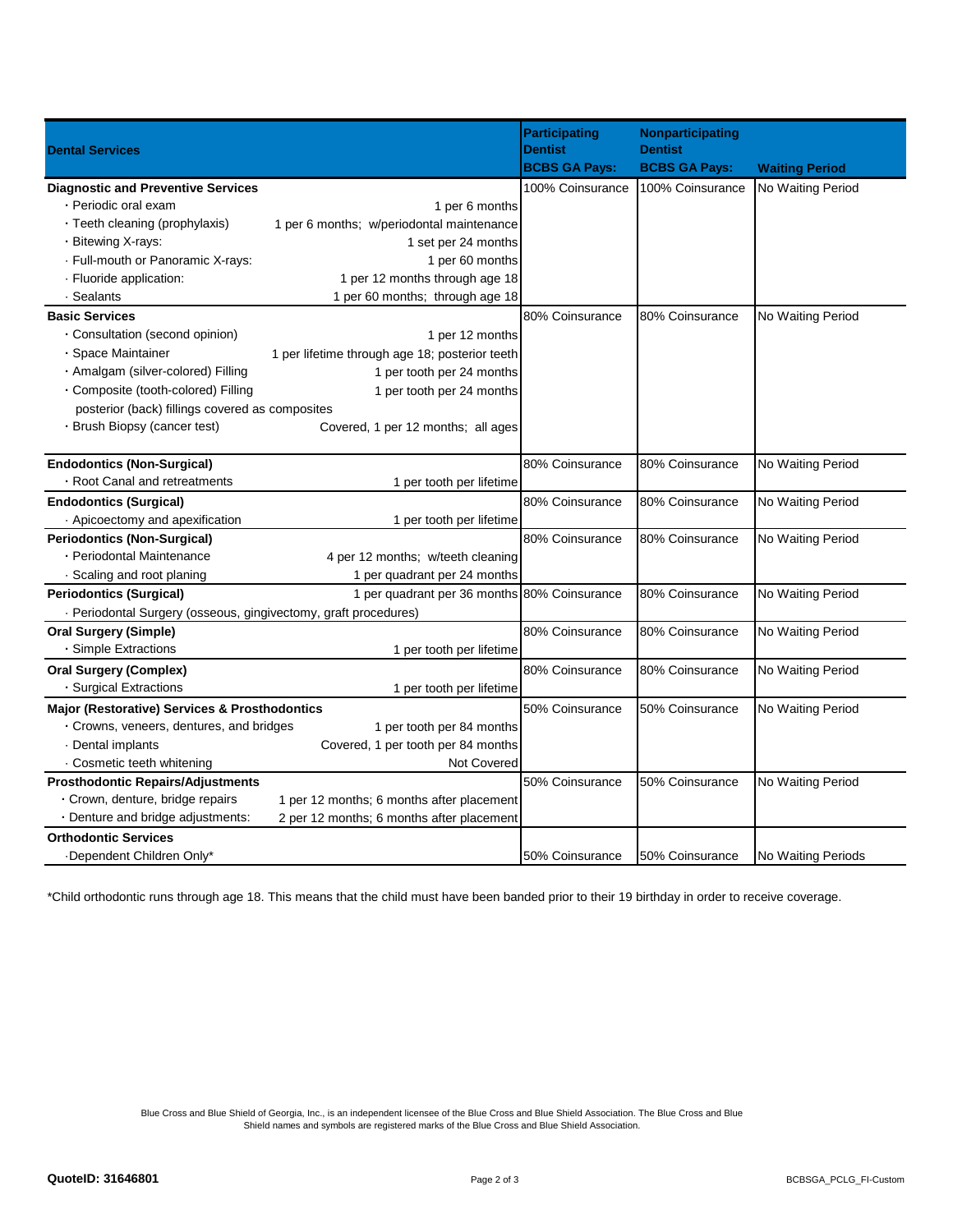|                                                                                | <b>Participating</b>                   | Nonparticipating                       |                       |
|--------------------------------------------------------------------------------|----------------------------------------|----------------------------------------|-----------------------|
| <b>Dental Services</b>                                                         | <b>Dentist</b><br><b>BCBS GA Pays:</b> | <b>Dentist</b><br><b>BCBS GA Pays:</b> | <b>Waiting Period</b> |
| <b>Diagnostic and Preventive Services</b>                                      | 100% Coinsurance                       | 100% Coinsurance                       | No Waiting Period     |
| · Periodic oral exam<br>1 per 6 months                                         |                                        |                                        |                       |
| • Teeth cleaning (prophylaxis)<br>1 per 6 months; w/periodontal maintenance    |                                        |                                        |                       |
| - Bitewing X-rays:<br>1 set per 24 months                                      |                                        |                                        |                       |
| - Full-mouth or Panoramic X-rays:<br>1 per 60 months                           |                                        |                                        |                       |
| 1 per 12 months through age 18<br>· Fluoride application:                      |                                        |                                        |                       |
| · Sealants<br>1 per 60 months; through age 18                                  |                                        |                                        |                       |
| <b>Basic Services</b>                                                          | 80% Coinsurance                        | 80% Coinsurance                        | No Waiting Period     |
| • Consultation (second opinion)<br>1 per 12 months                             |                                        |                                        |                       |
| · Space Maintainer<br>1 per lifetime through age 18; posterior teeth           |                                        |                                        |                       |
| - Amalgam (silver-colored) Filling<br>1 per tooth per 24 months                |                                        |                                        |                       |
| · Composite (tooth-colored) Filling<br>1 per tooth per 24 months               |                                        |                                        |                       |
| posterior (back) fillings covered as composites                                |                                        |                                        |                       |
| · Brush Biopsy (cancer test)<br>Covered, 1 per 12 months; all ages             |                                        |                                        |                       |
|                                                                                |                                        |                                        |                       |
| <b>Endodontics (Non-Surgical)</b>                                              | 80% Coinsurance                        | 80% Coinsurance                        | No Waiting Period     |
| • Root Canal and retreatments<br>1 per tooth per lifetime                      |                                        |                                        |                       |
| <b>Endodontics (Surgical)</b>                                                  | 80% Coinsurance                        | 80% Coinsurance                        | No Waiting Period     |
| Apicoectomy and apexification<br>1 per tooth per lifetime                      |                                        |                                        |                       |
| <b>Periodontics (Non-Surgical)</b>                                             | 80% Coinsurance                        | 80% Coinsurance                        | No Waiting Period     |
| • Periodontal Maintenance<br>4 per 12 months; w/teeth cleaning                 |                                        |                                        |                       |
| · Scaling and root planing<br>1 per quadrant per 24 months                     |                                        |                                        |                       |
| 1 per quadrant per 36 months 80% Coinsurance<br><b>Periodontics (Surgical)</b> |                                        | 80% Coinsurance                        | No Waiting Period     |
| - Periodontal Surgery (osseous, gingivectomy, graft procedures)                |                                        |                                        |                       |
| <b>Oral Surgery (Simple)</b>                                                   | 80% Coinsurance                        | 80% Coinsurance                        | No Waiting Period     |
| - Simple Extractions<br>1 per tooth per lifetime                               |                                        |                                        |                       |
| <b>Oral Surgery (Complex)</b>                                                  | 80% Coinsurance                        | 80% Coinsurance                        | No Waiting Period     |
| · Surgical Extractions<br>1 per tooth per lifetime                             |                                        |                                        |                       |
| Major (Restorative) Services & Prosthodontics                                  | 50% Coinsurance                        | 50% Coinsurance                        | No Waiting Period     |
| • Crowns, veneers, dentures, and bridges<br>1 per tooth per 84 months          |                                        |                                        |                       |
| · Dental implants<br>Covered, 1 per tooth per 84 months                        |                                        |                                        |                       |
| · Cosmetic teeth whitening<br>Not Covered                                      |                                        |                                        |                       |
| <b>Prosthodontic Repairs/Adjustments</b>                                       | 50% Coinsurance                        | 50% Coinsurance                        | No Waiting Period     |
| - Crown, denture, bridge repairs<br>1 per 12 months; 6 months after placement  |                                        |                                        |                       |
| - Denture and bridge adjustments:<br>2 per 12 months; 6 months after placement |                                        |                                        |                       |
| <b>Orthodontic Services</b>                                                    |                                        |                                        |                       |
| -Dependent Children Only*                                                      | 50% Coinsurance                        | 50% Coinsurance                        | No Waiting Periods    |

\*Child orthodontic runs through age 18. This means that the child must have been banded prior to their 19 birthday in order to receive coverage.

Blue Cross and Blue Shield of Georgia, Inc., is an independent licensee of the Blue Cross and Blue Shield Association. The Blue Cross and Blue Shield names and symbols are registered marks of the Blue Cross and Blue Shield Association.